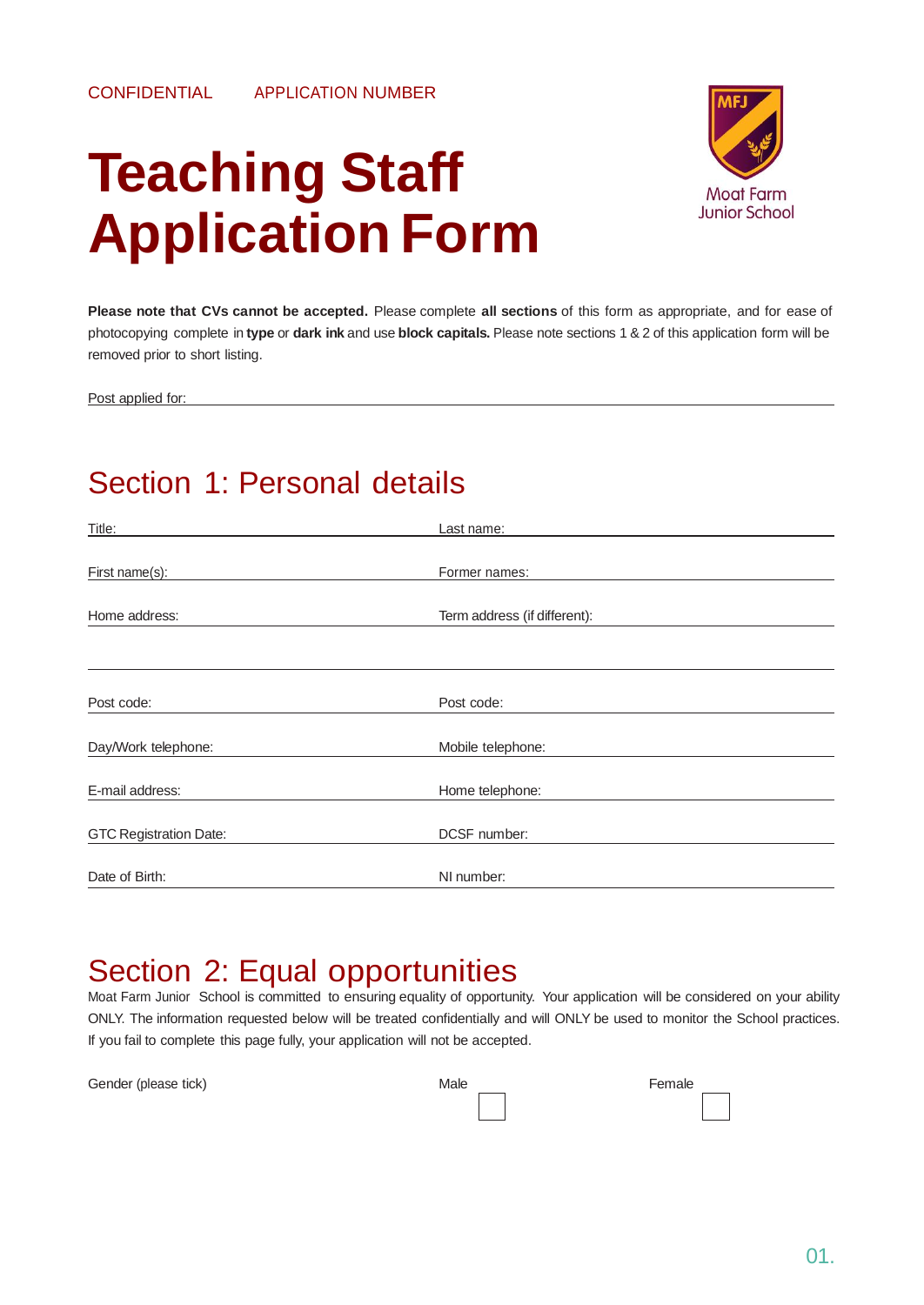# **Teaching Staff Application Form**



**Please note that CVs cannot be accepted.** Please complete **all sections** of this form as appropriate, and for ease of photocopying complete in **type** or **dark ink** and use **block capitals.** Please note sections 1 & 2 of this application form will be removed prior to short listing.

Post applied for:

### Section 1: Personal details

| Title:                        | Last name:                   |
|-------------------------------|------------------------------|
|                               |                              |
| First name(s):                | Former names:                |
|                               |                              |
| Home address:                 | Term address (if different): |
|                               |                              |
|                               |                              |
|                               |                              |
| Post code:                    | Post code:                   |
| Day/Work telephone:           | Mobile telephone:            |
|                               |                              |
| E-mail address:               | Home telephone:              |
|                               |                              |
| <b>GTC Registration Date:</b> | DCSF number:                 |
| Date of Birth:                | NI number:                   |
|                               |                              |

### Section 2: Equal opportunities

Moat Farm Junior School is committed to ensuring equality of opportunity. Your application will be considered on your ability ONLY. The information requested below will be treated confidentially and will ONLY be used to monitor the School practices. If you fail to complete this page fully, your application will not be accepted.

| Gender (please tick) | Male | Female |
|----------------------|------|--------|
|                      |      |        |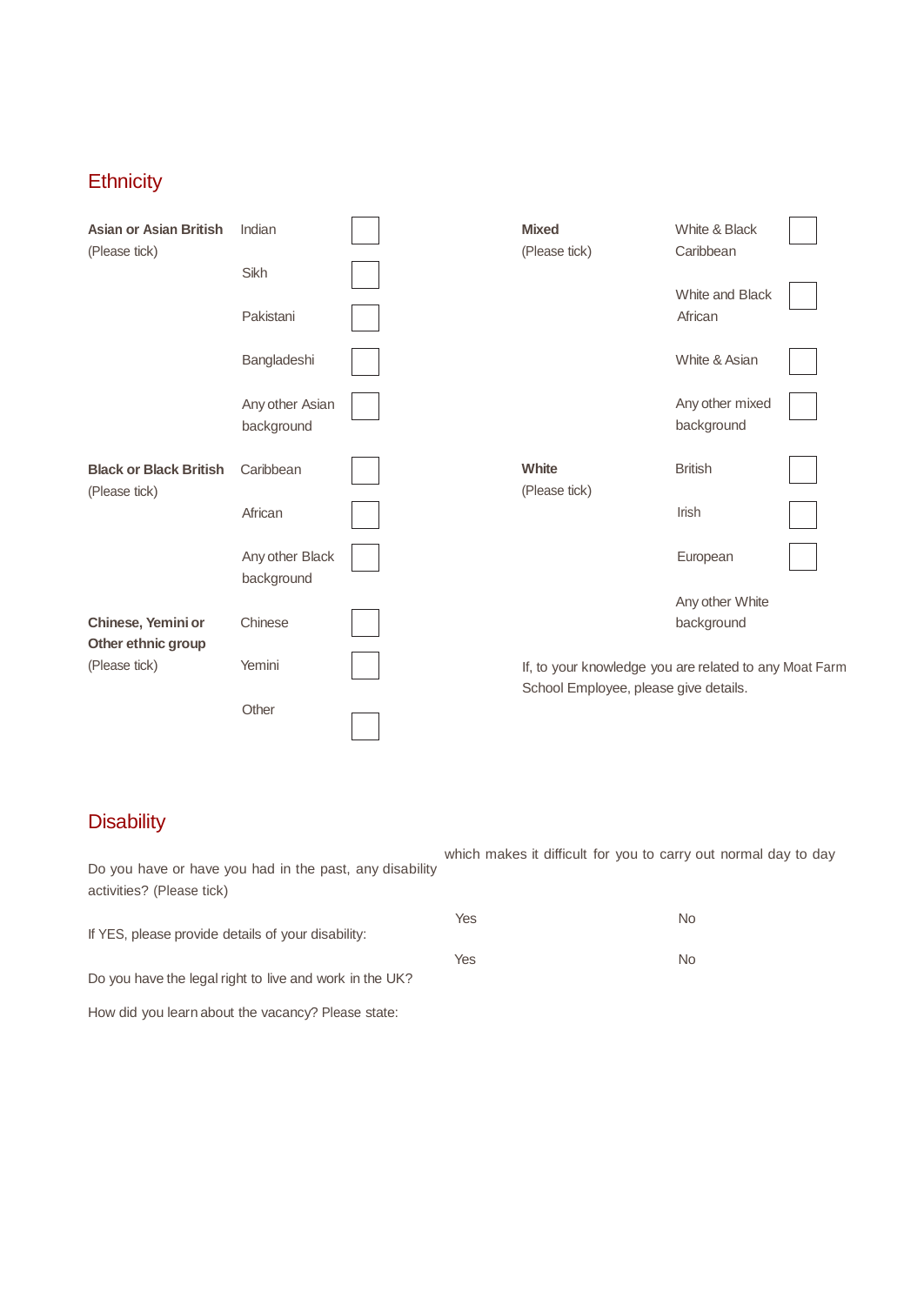#### **Ethnicity**

| <b>Asian or Asian British</b><br>(Please tick) | Indian                        | <b>Mixed</b><br>(Please tick)                                                                   | White & Black<br>Caribbean    |  |
|------------------------------------------------|-------------------------------|-------------------------------------------------------------------------------------------------|-------------------------------|--|
|                                                | Sikh                          |                                                                                                 | White and Black               |  |
|                                                | Pakistani                     |                                                                                                 | African                       |  |
|                                                | Bangladeshi                   |                                                                                                 | White & Asian                 |  |
|                                                | Any other Asian<br>background |                                                                                                 | Any other mixed<br>background |  |
| <b>Black or Black British</b><br>(Please tick) | Caribbean                     | <b>White</b><br>(Please tick)                                                                   | <b>British</b>                |  |
|                                                | African                       |                                                                                                 | Irish                         |  |
|                                                | Any other Black<br>background |                                                                                                 | European                      |  |
|                                                |                               |                                                                                                 | Any other White               |  |
| Chinese, Yemini or<br>Other ethnic group       | Chinese                       |                                                                                                 | background                    |  |
| (Please tick)                                  | Yemini                        | If, to your knowledge you are related to any Moat Farm<br>School Employee, please give details. |                               |  |
|                                                | Other                         |                                                                                                 |                               |  |

#### **Disability**

which makes it difficult for you to carry out normal day to day Yes No Do you have or have you had in the past, any disability activities? (Please tick)

| If YES, please provide details of your disability:      |     |     |
|---------------------------------------------------------|-----|-----|
|                                                         | Yes | No. |
| Do you have the legal right to live and work in the UK? |     |     |

How did you learn about the vacancy? Please state: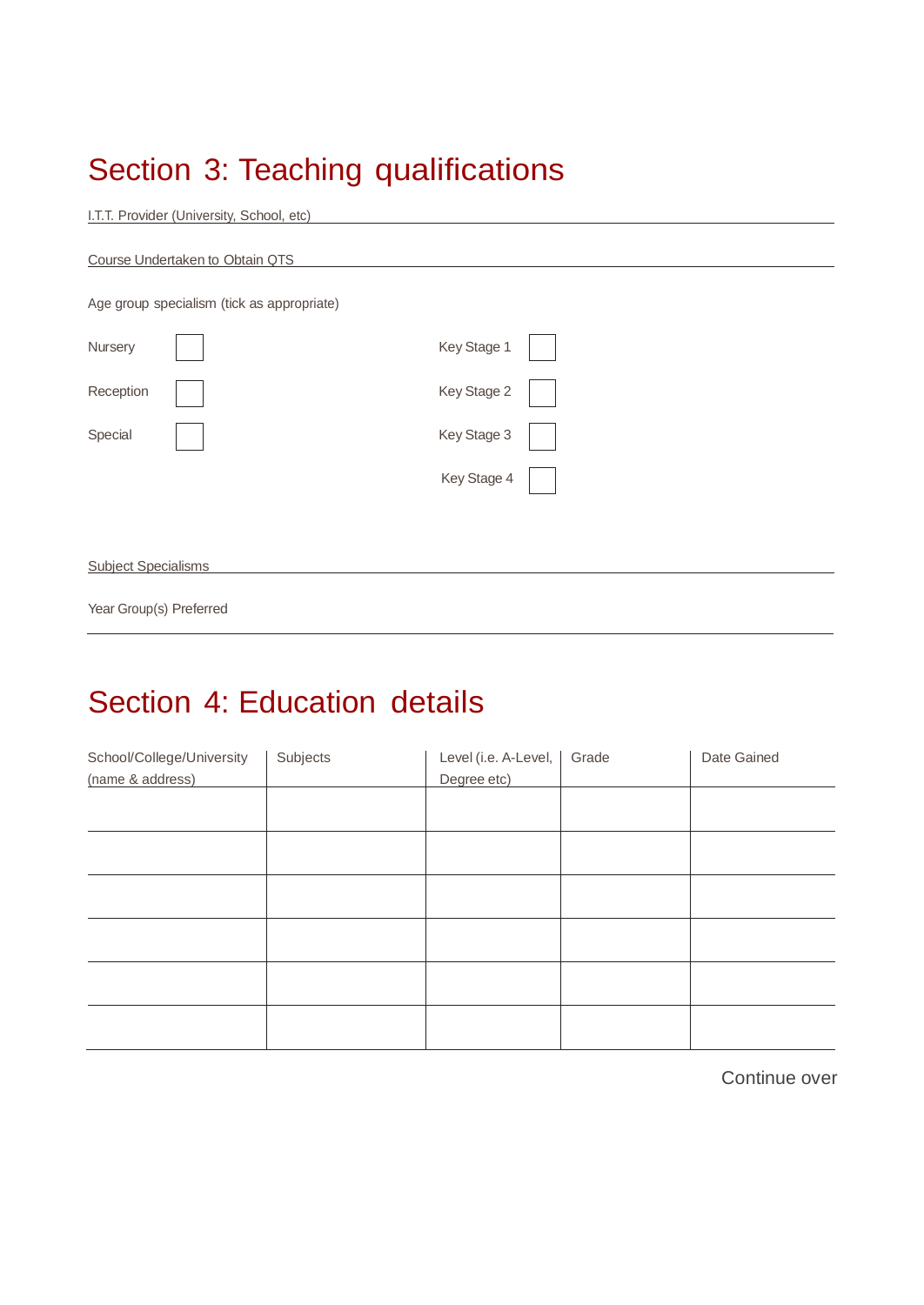# Section 3: Teaching qualifications

| Age group specialism (tick as appropriate) |             |  |
|--------------------------------------------|-------------|--|
| Nursery                                    | Key Stage 1 |  |
| Reception                                  | Key Stage 2 |  |
| Special                                    | Key Stage 3 |  |
|                                            | Key Stage 4 |  |
|                                            |             |  |

# Section 4: Education details

Year Group(s) Preferred

| School/College/University | Subjects | Level (i.e. A-Level, | Grade | Date Gained |
|---------------------------|----------|----------------------|-------|-------------|
| (name & address)          |          | Degree etc)          |       |             |
|                           |          |                      |       |             |
|                           |          |                      |       |             |
|                           |          |                      |       |             |
|                           |          |                      |       |             |
|                           |          |                      |       |             |
|                           |          |                      |       |             |

Continue over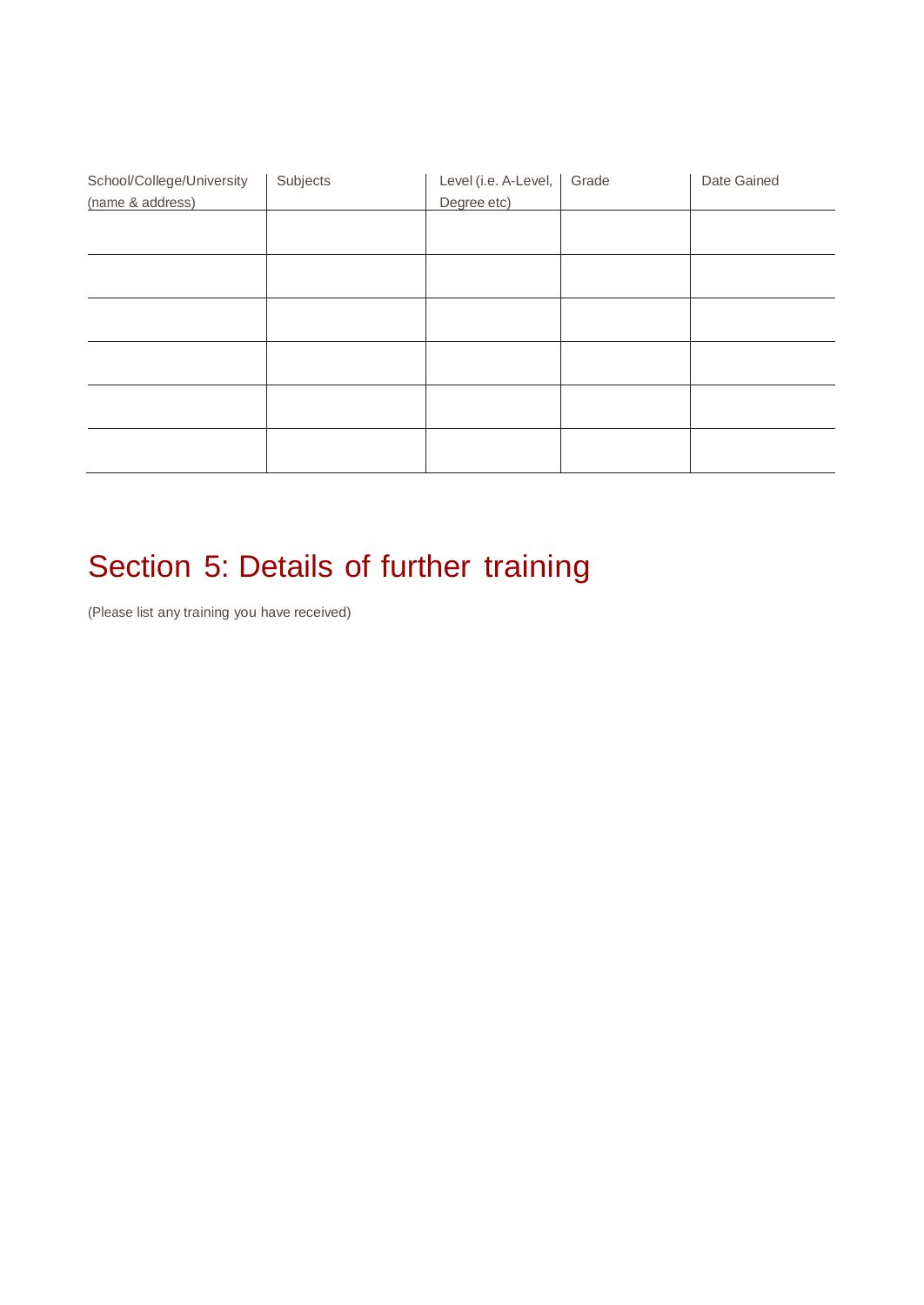| School/College/University | Subjects | Level (i.e. A-Level, | Grade | Date Gained |
|---------------------------|----------|----------------------|-------|-------------|
| (name & address)          |          | Degree etc)          |       |             |
|                           |          |                      |       |             |
|                           |          |                      |       |             |
|                           |          |                      |       |             |
|                           |          |                      |       |             |
|                           |          |                      |       |             |
|                           |          |                      |       |             |
|                           |          |                      |       |             |
|                           |          |                      |       |             |
|                           |          |                      |       |             |
|                           |          |                      |       |             |
|                           |          |                      |       |             |
|                           |          |                      |       |             |
|                           |          |                      |       |             |

# Section 5: Details of further training

(Please list any training you have received)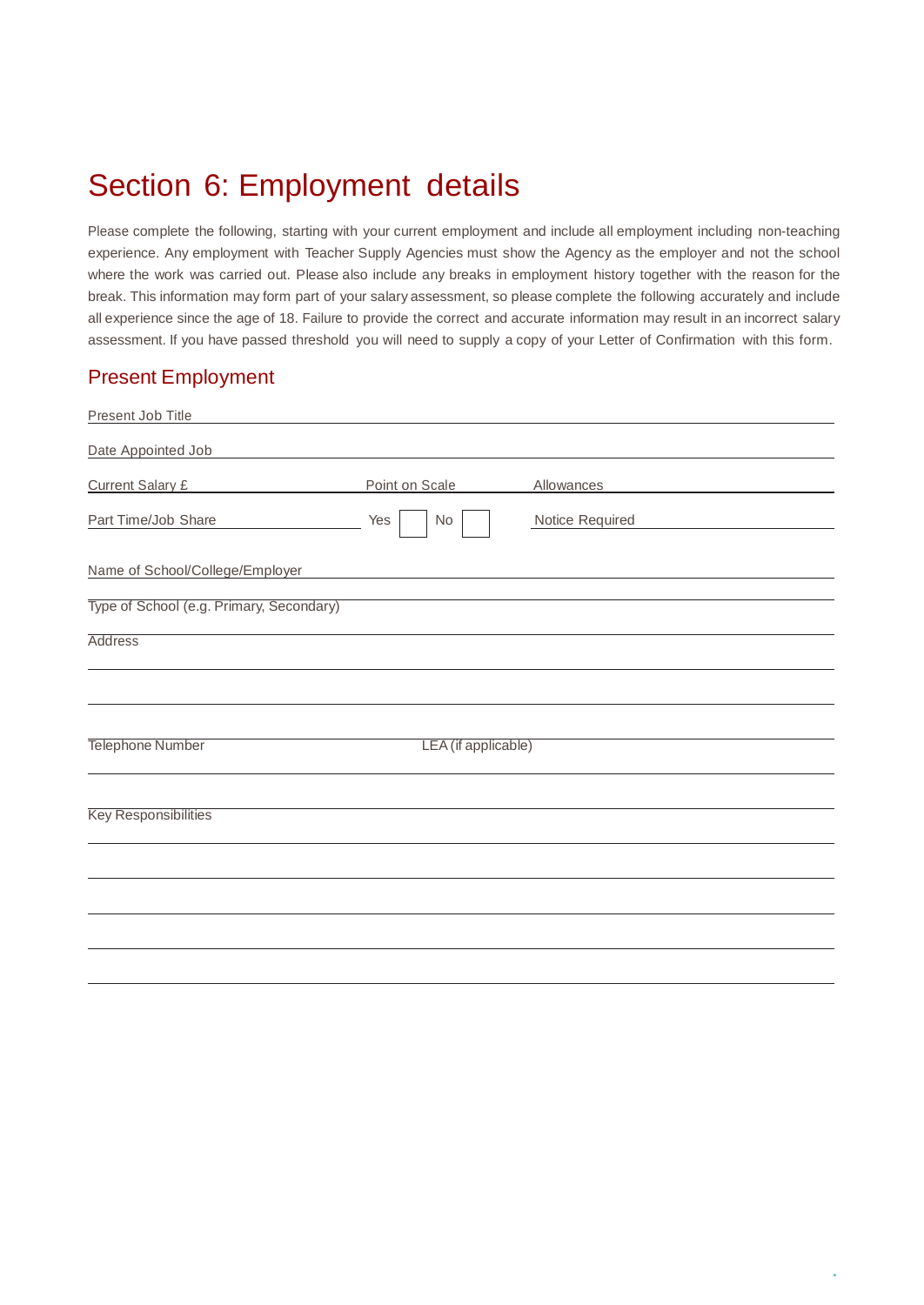### Section 6: Employment details

Please complete the following, starting with your current employment and include all employment including non-teaching experience. Any employment with Teacher Supply Agencies must show the Agency as the employer and not the school where the work was carried out. Please also include any breaks in employment history together with the reason for the break. This information may form part of your salary assessment, so please complete the following accurately and include all experience since the age of 18. Failure to provide the correct and accurate information may result in an incorrect salary assessment. If you have passed threshold you will need to supply a copy of your Letter of Confirmation with this form.

#### Present Employment

| Present Job Title                        |                |                     |                 |  |
|------------------------------------------|----------------|---------------------|-----------------|--|
| Date Appointed Job                       |                |                     |                 |  |
| <b>Current Salary £</b>                  | Point on Scale |                     | Allowances      |  |
| Part Time/Job Share                      | Yes<br>No      |                     | Notice Required |  |
| Name of School/College/Employer          |                |                     |                 |  |
| Type of School (e.g. Primary, Secondary) |                |                     |                 |  |
| <b>Address</b>                           |                |                     |                 |  |
|                                          |                |                     |                 |  |
| Telephone Number                         |                | LEA (if applicable) |                 |  |
| <b>Key Responsibilities</b>              |                |                     |                 |  |
|                                          |                |                     |                 |  |
|                                          |                |                     |                 |  |
|                                          |                |                     |                 |  |
|                                          |                |                     |                 |  |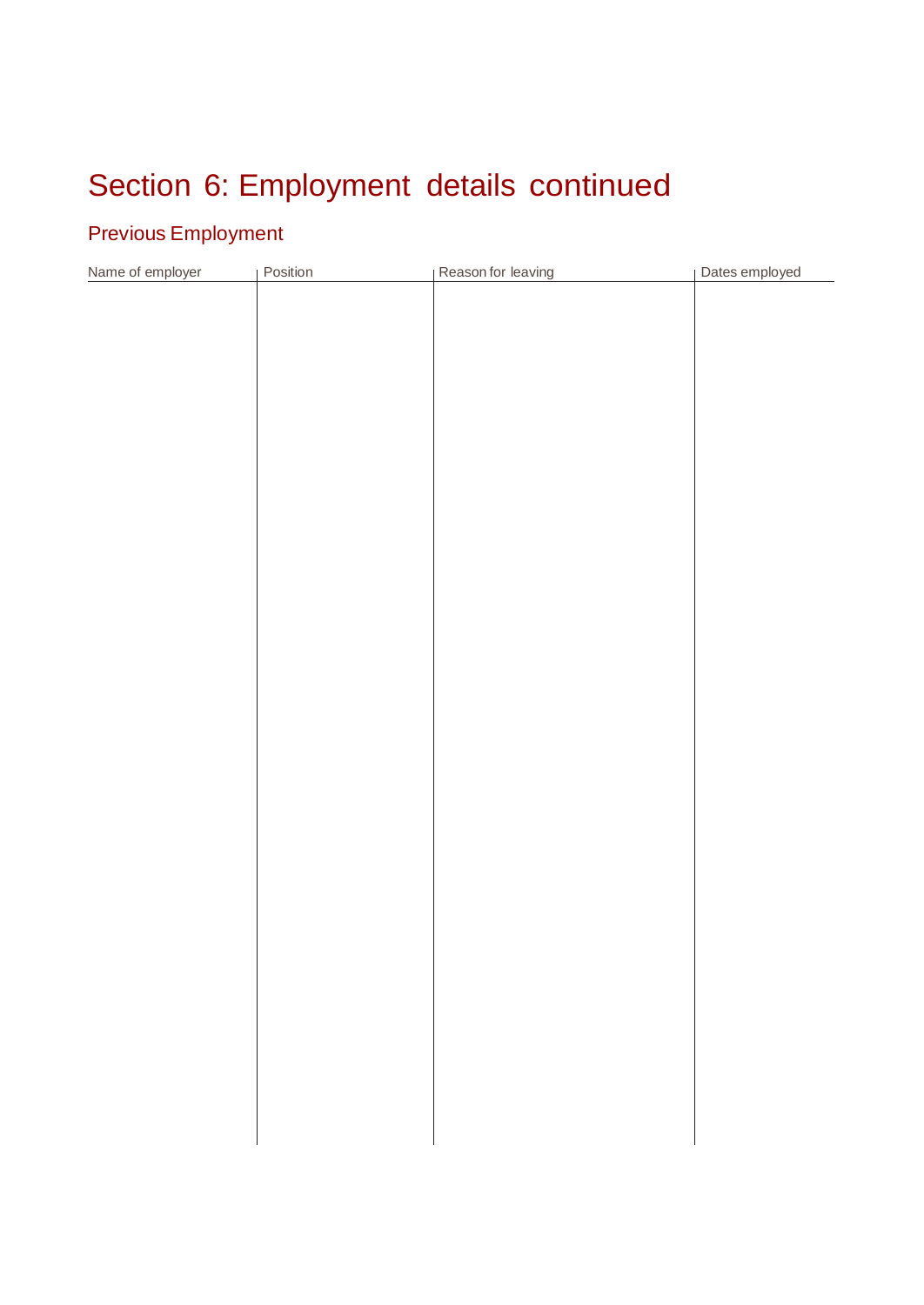# Section 6: Employment details continued

#### Previous Employment

| Name of employer | Position | Reason for leaving | Dates employed |
|------------------|----------|--------------------|----------------|
|                  |          |                    |                |
|                  |          |                    |                |
|                  |          |                    |                |
|                  |          |                    |                |
|                  |          |                    |                |
|                  |          |                    |                |
|                  |          |                    |                |
|                  |          |                    |                |
|                  |          |                    |                |
|                  |          |                    |                |
|                  |          |                    |                |
|                  |          |                    |                |
|                  |          |                    |                |
|                  |          |                    |                |
|                  |          |                    |                |
|                  |          |                    |                |
|                  |          |                    |                |
|                  |          |                    |                |
|                  |          |                    |                |
|                  |          |                    |                |
|                  |          |                    |                |
|                  |          |                    |                |
|                  |          |                    |                |
|                  |          |                    |                |
|                  |          |                    |                |
|                  |          |                    |                |
|                  |          |                    |                |
|                  |          |                    |                |
|                  |          |                    |                |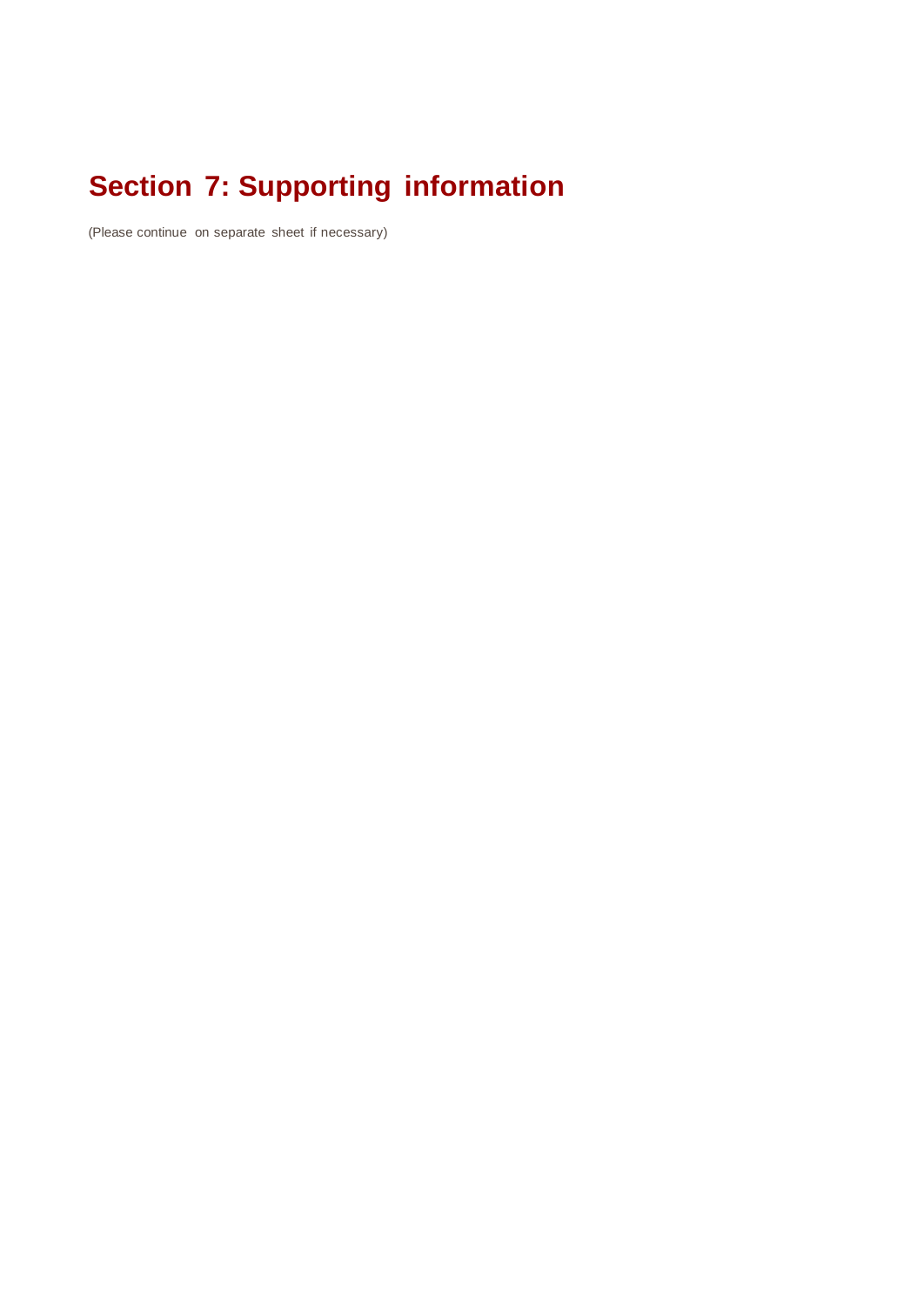# **Section 7: Supporting information**

(Please continue on separate sheet if necessary)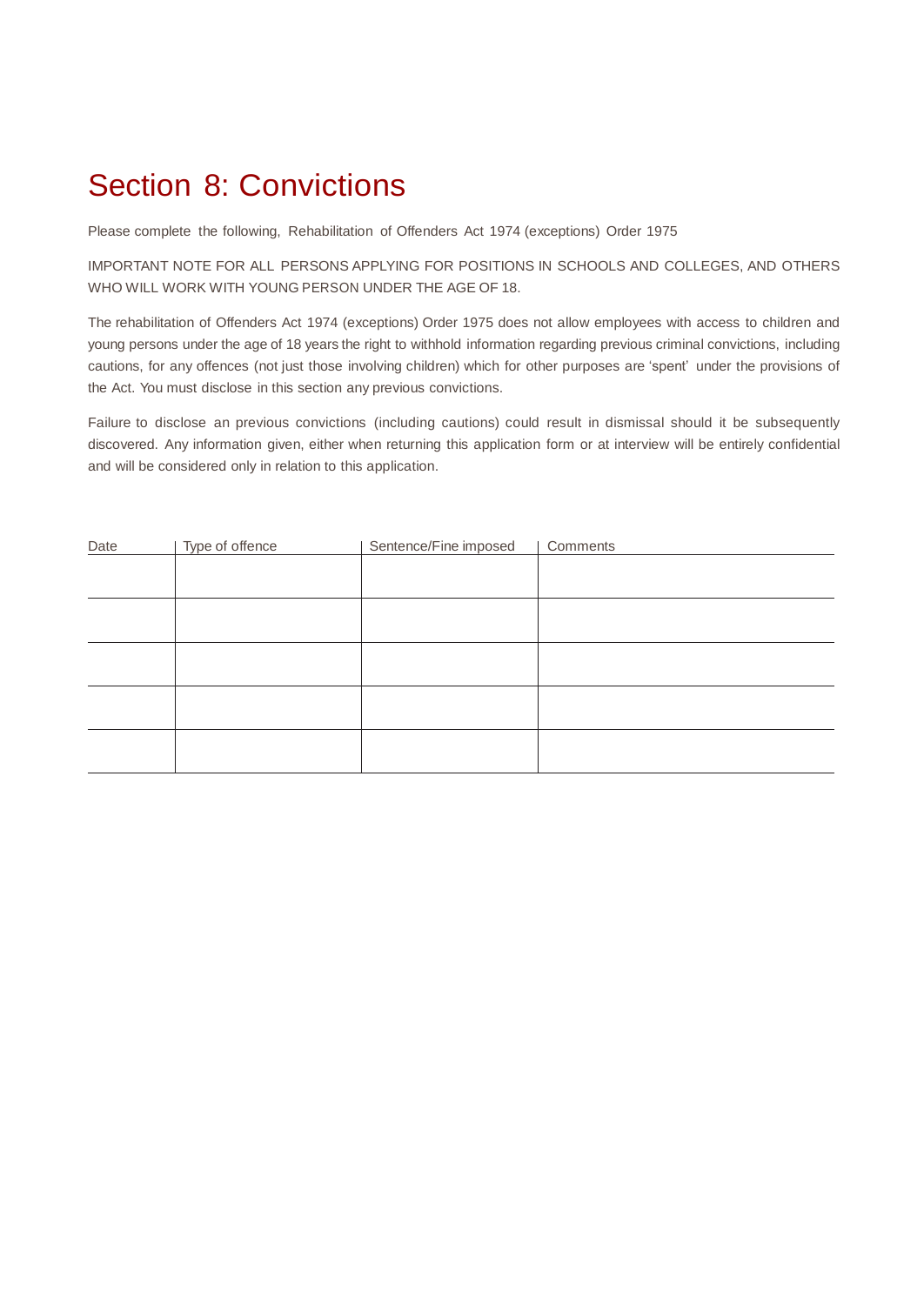### Section 8: Convictions

Please complete the following, Rehabilitation of Offenders Act 1974 (exceptions) Order 1975

IMPORTANT NOTE FOR ALL PERSONS APPLYING FOR POSITIONS IN SCHOOLS AND COLLEGES, AND OTHERS WHO WILL WORK WITH YOUNG PERSON UNDER THE AGE OF 18.

The rehabilitation of Offenders Act 1974 (exceptions) Order 1975 does not allow employees with access to children and young persons under the age of 18 years the right to withhold information regarding previous criminal convictions, including cautions, for any offences (not just those involving children) which for other purposes are 'spent' under the provisions of the Act. You must disclose in this section any previous convictions.

Failure to disclose an previous convictions (including cautions) could result in dismissal should it be subsequently discovered. Any information given, either when returning this application form or at interview will be entirely confidential and will be considered only in relation to this application.

| Date | Type of offence | Sentence/Fine imposed | Comments |
|------|-----------------|-----------------------|----------|
|      |                 |                       |          |
|      |                 |                       |          |
|      |                 |                       |          |
|      |                 |                       |          |
|      |                 |                       |          |
|      |                 |                       |          |
|      |                 |                       |          |
|      |                 |                       |          |
|      |                 |                       |          |
|      |                 |                       |          |
|      |                 |                       |          |
|      |                 |                       |          |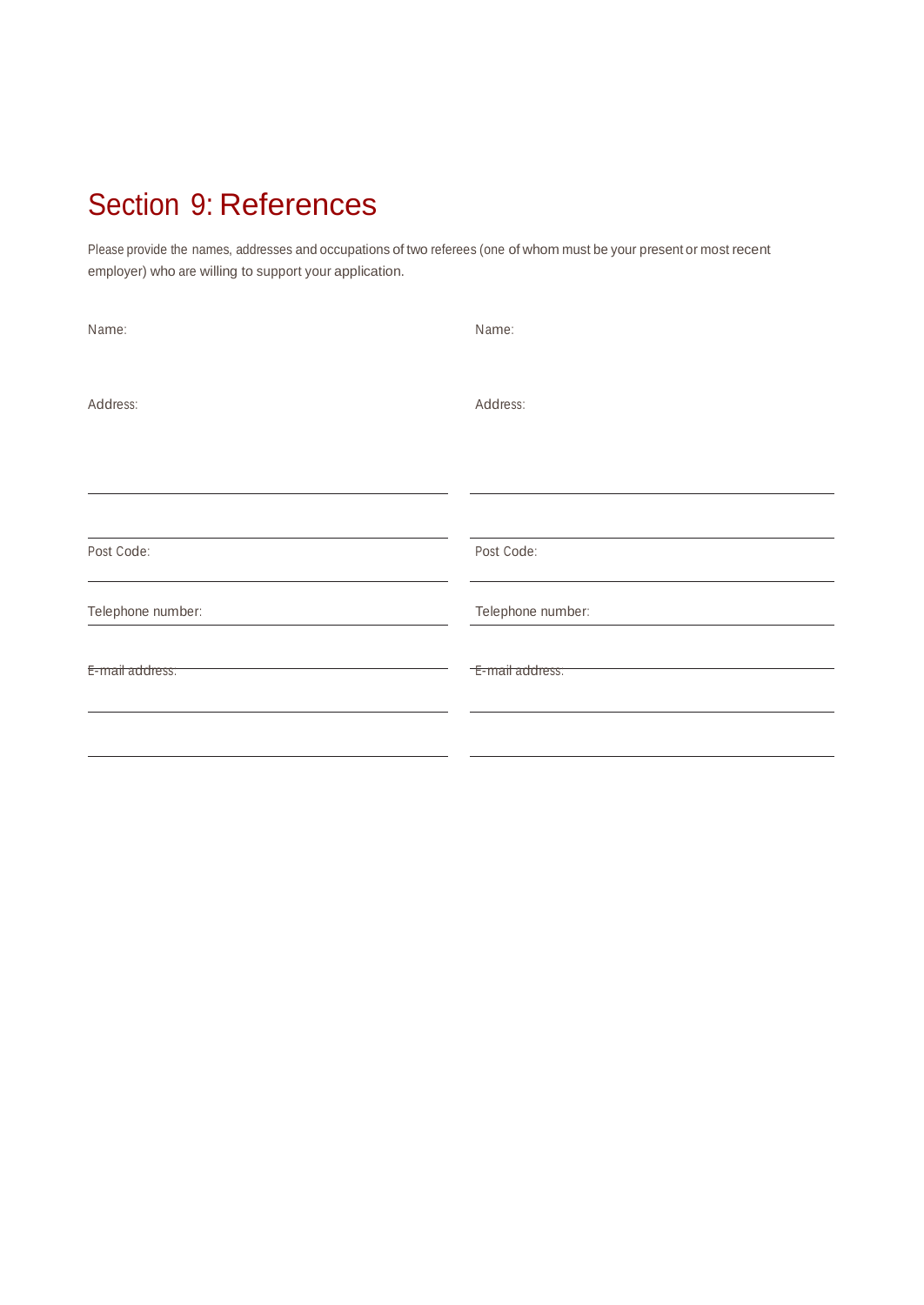# Section 9: References

Please provide the names, addresses and occupations of two referees (one of whom must be your present or most recent employer) who are willing to support your application.

| Name:             | Name:             |
|-------------------|-------------------|
| Address:          | Address:          |
| Post Code:        | Post Code:        |
| Telephone number: | Telephone number: |
| E-mail address:   | E-mail address:   |
|                   |                   |